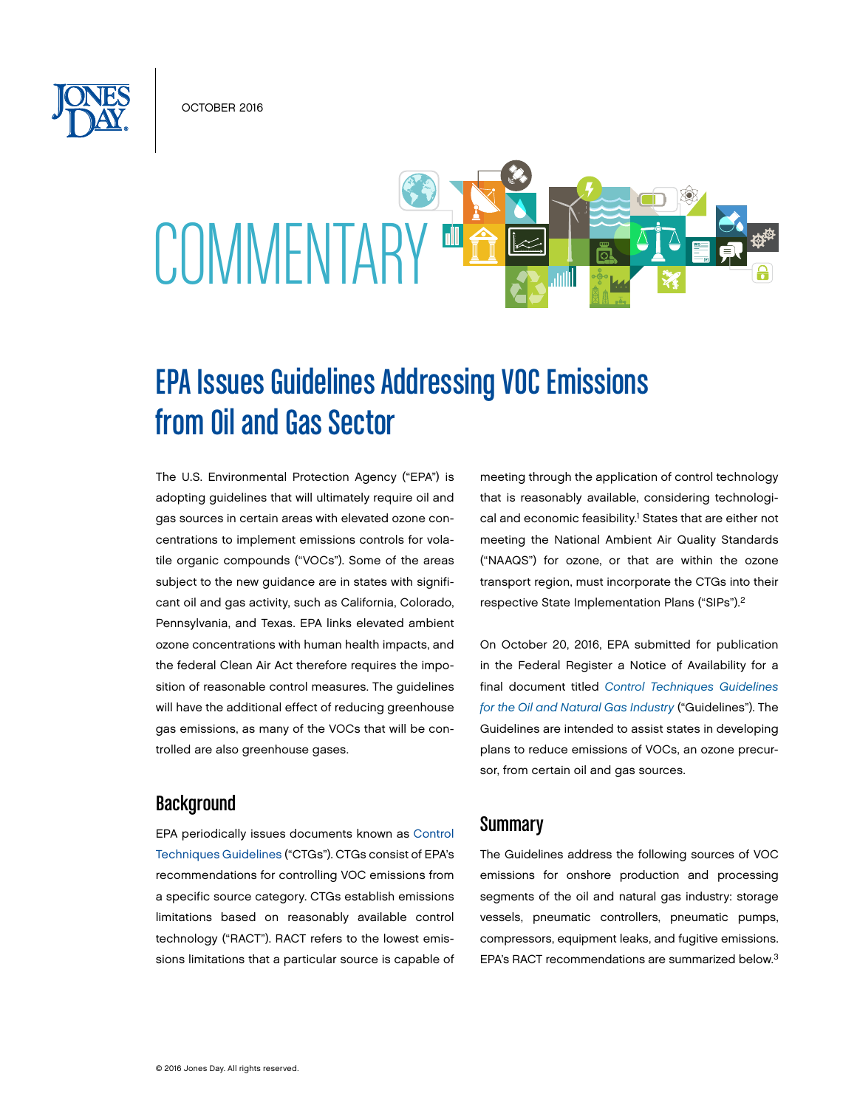October 2016

# **COMMENTARY**

# EPA Issues Guidelines Addressing VOC Emissions from Oil and Gas Sector

The U.S. Environmental Protection Agency ("EPA") is adopting guidelines that will ultimately require oil and gas sources in certain areas with elevated ozone concentrations to implement emissions controls for volatile organic compounds ("VOCs"). Some of the areas subject to the new guidance are in states with significant oil and gas activity, such as California, Colorado, Pennsylvania, and Texas. EPA links elevated ambient ozone concentrations with human health impacts, and the federal Clean Air Act therefore requires the imposition of reasonable control measures. The guidelines will have the additional effect of reducing greenhouse gas emissions, as many of the VOCs that will be controlled are also greenhouse gases.

## **Background**

EPA periodically issues documents known as [Control](https://www.epa.gov/ozone-pollution/control-techniques-guidelines-and-alternative-control-techniques-documents-reducing)  [Techniques Guidelines](https://www.epa.gov/ozone-pollution/control-techniques-guidelines-and-alternative-control-techniques-documents-reducing) ("CTGs"). CTGs consist of EPA's recommendations for controlling VOC emissions from a specific source category. CTGs establish emissions limitations based on reasonably available control technology ("RACT"). RACT refers to the lowest emissions limitations that a particular source is capable of meeting through the application of control technology that is reasonably available, considering technological and economic feasibility.<sup>1</sup> States that are either not meeting the National Ambient Air Quality Standards ("NAAQS") for ozone, or that are within the ozone transport region, must incorporate the CTGs into their respective State Implementation Plans ("SIPs").2

On October 20, 2016, EPA submitted for publication in the Federal Register a Notice of Availability for a final document titled *[Control Techniques Guidelines](https://www.epa.gov/sites/production/files/2016-10/documents/2016-ctg-oil-and-gas.pdf) [for the Oil and Natural Gas Industry](https://www.epa.gov/sites/production/files/2016-10/documents/2016-ctg-oil-and-gas.pdf)* ("Guidelines"). The Guidelines are intended to assist states in developing plans to reduce emissions of VOCs, an ozone precursor, from certain oil and gas sources.

## Summary

The Guidelines address the following sources of VOC emissions for onshore production and processing segments of the oil and natural gas industry: storage vessels, pneumatic controllers, pneumatic pumps, compressors, equipment leaks, and fugitive emissions. EPA's RACT recommendations are summarized below.3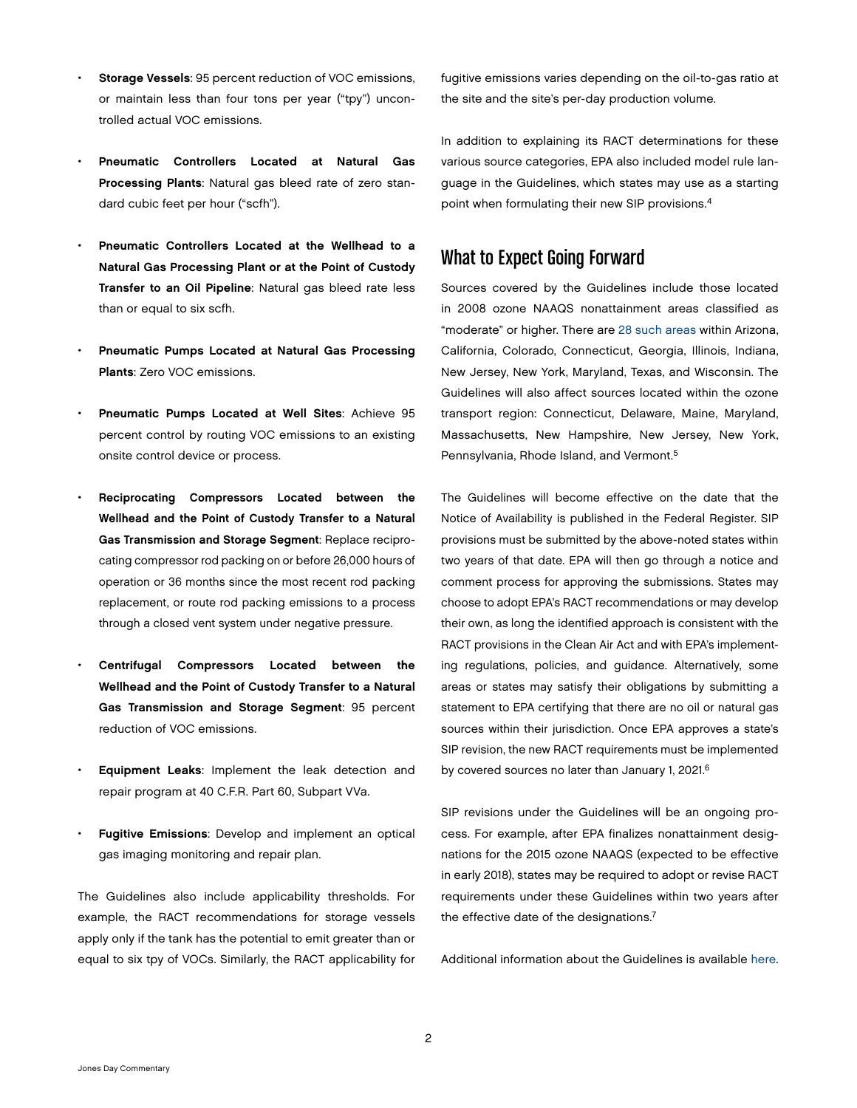- Storage Vessels: 95 percent reduction of VOC emissions, or maintain less than four tons per year ("tpy") uncontrolled actual VOC emissions.
- Pneumatic Controllers Located at Natural Gas Processing Plants: Natural gas bleed rate of zero standard cubic feet per hour ("scfh").
- Pneumatic Controllers Located at the Wellhead to a Natural Gas Processing Plant or at the Point of Custody Transfer to an Oil Pipeline: Natural gas bleed rate less than or equal to six scfh.
- Pneumatic Pumps Located at Natural Gas Processing Plants: Zero VOC emissions.
- Pneumatic Pumps Located at Well Sites: Achieve 95 percent control by routing VOC emissions to an existing onsite control device or process.
- Reciprocating Compressors Located between the Wellhead and the Point of Custody Transfer to a Natural Gas Transmission and Storage Segment: Replace reciprocating compressor rod packing on or before 26,000 hours of operation or 36 months since the most recent rod packing replacement, or route rod packing emissions to a process through a closed vent system under negative pressure.
- Centrifugal Compressors Located between the Wellhead and the Point of Custody Transfer to a Natural Gas Transmission and Storage Segment: 95 percent reduction of VOC emissions.
- Equipment Leaks: Implement the leak detection and repair program at 40 C.F.R. Part 60, Subpart VVa.
- Fugitive Emissions: Develop and implement an optical gas imaging monitoring and repair plan.

The Guidelines also include applicability thresholds. For example, the RACT recommendations for storage vessels apply only if the tank has the potential to emit greater than or equal to six tpy of VOCs. Similarly, the RACT applicability for

fugitive emissions varies depending on the oil-to-gas ratio at the site and the site's per-day production volume.

In addition to explaining its RACT determinations for these various source categories, EPA also included model rule language in the Guidelines, which states may use as a starting point when formulating their new SIP provisions.4

# What to Expect Going Forward

Sources covered by the Guidelines include those located in 2008 ozone NAAQS nonattainment areas classified as "moderate" or higher. There are [28 such areas](https://www3.epa.gov/airquality/greenbook/map8hr_2008.html) within Arizona, California, Colorado, Connecticut, Georgia, Illinois, Indiana, New Jersey, New York, Maryland, Texas, and Wisconsin. The Guidelines will also affect sources located within the ozone transport region: Connecticut, Delaware, Maine, Maryland, Massachusetts, New Hampshire, New Jersey, New York, Pennsylvania, Rhode Island, and Vermont.5

The Guidelines will become effective on the date that the Notice of Availability is published in the Federal Register. SIP provisions must be submitted by the above-noted states within two years of that date. EPA will then go through a notice and comment process for approving the submissions. States may choose to adopt EPA's RACT recommendations or may develop their own, as long the identified approach is consistent with the RACT provisions in the Clean Air Act and with EPA's implementing regulations, policies, and guidance. Alternatively, some areas or states may satisfy their obligations by submitting a statement to EPA certifying that there are no oil or natural gas sources within their jurisdiction. Once EPA approves a state's SIP revision, the new RACT requirements must be implemented by covered sources no later than January 1, 2021.<sup>6</sup>

SIP revisions under the Guidelines will be an ongoing process. For example, after EPA finalizes nonattainment designations for the 2015 ozone NAAQS (expected to be effective in early 2018), states may be required to adopt or revise RACT requirements under these Guidelines within two years after the effective date of the designations.<sup>7</sup>

Additional information about the Guidelines is available [here.](https://www.epa.gov/controlling-air-pollution-oil-and-natural-gas-industry/2016-control-techniques-guidelines-oil-and)